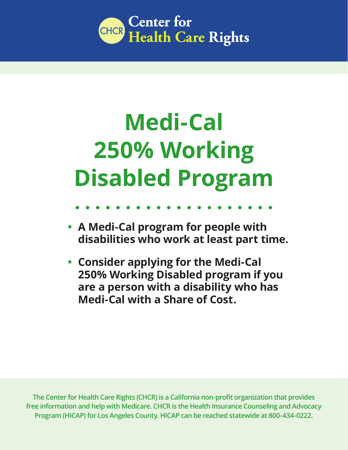

# **Medi-Cal 250% Working Disabled Program**

# **• A Medi-Cal program for people with disabilities who work at least part time.**

**• Consider applying for the Medi-Cal 250% Working Disabled program if you are a person with a disability who has Medi-Cal with a Share of Cost.**

**The Center for Health Care Rights (CHCR) is a California non-profit organization that provides free information and help with Medicare. CHCR is the Health Insurance Counseling and Advocacy Program (HICAP) for Los Angeles County. HICAP can be reached statewide at 800-434-0222.**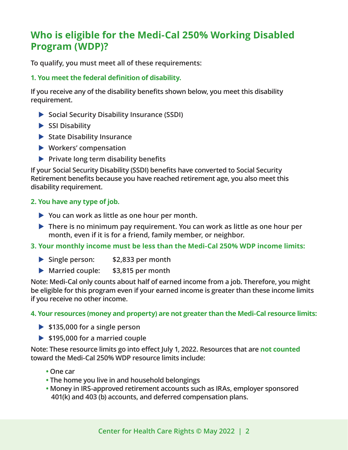## **Who is eligible for the Medi-Cal 250% Working Disabled Program (WDP)?**

**To qualify, you must meet all of these requirements:**

## **1. You meet the federal definition of disability.**

**If you receive any of the disability benefits shown below, you meet this disability requirement.**

- ▶ Social Security Disability Insurance (SSDI)
- SSI Disability
- ▶ State Disability Insurance
- X **Workers' compensation**
- **Private long term disability benefits**

**If your Social Security Disability (SSDI) benefits have converted to Social Security Retirement benefits because you have reached retirement age, you also meet this disability requirement.**

### **2. You have any type of job.**

- ▶ You can work as little as one hour per month.
- X **There is no minimum pay requirement. You can work as little as one hour per month, even if it is for a friend, family member, or neighbor.**
- **3. Your monthly income must be less than the Medi-Cal 250% WDP income limits:**
	- ▶ Single person: **\$2,833 per month**
	- **Married couple:** \$3,815 per month

**Note: Medi-Cal only counts about half of earned income from a job. Therefore, you might be eligible for this program even if your earned income is greater than these income limits if you receive no other income.**

### **4. Your resources (money and property) are not greater than the Medi-Cal resource limits:**

- ▶ \$135,000 for a single person
- ▶ \$195,000 for a married couple

**Note: These resource limits go into effect July 1, 2022. Resources that are not counted toward the Medi-Cal 250% WDP resource limits include:**

- **• One car**
- **• The home you live in and household belongings**
- **• Money in IRS-approved retirement accounts such as IRAs, employer sponsored 401(k) and 403 (b) accounts, and deferred compensation plans.**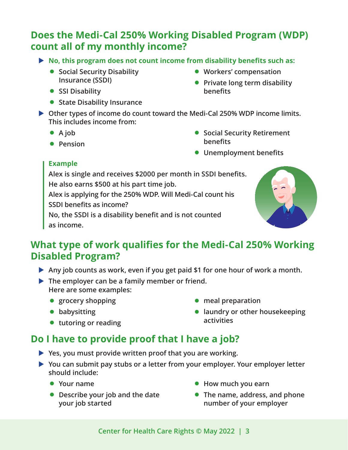## **Does the Medi-Cal 250% Working Disabled Program (WDP) count all of my monthly income?**

- ▶ No, this program does not count income from disability benefits such as:
	- **Social Security Disability Insurance (SSDI)**
	- **SSI Disability**
	- **State Disability Insurance**
- **Workers' compensation**
- **Private long term disability benefits**
- ▶ Other types of income do count toward the Medi-Cal 250% WDP income limits. **This includes income from:**
	- **A job**
	- **Pension**
- **Social Security Retirement benefits**
- **Unemployment benefits**

## **Example**

**Alex is single and receives \$2000 per month in SSDI benefits. He also earns \$500 at his part time job.** 

**Alex is applying for the 250% WDP. Will Medi-Cal count his SSDI benefits as income?**

**No, the SSDI is a disability benefit and is not counted as income.**



## **What type of work qualifies for the Medi-Cal 250% Working Disabled Program?**

- ▶ Any job counts as work, even if you get paid \$1 for one hour of work a month.
- **The employer can be a family member or friend. Here are some examples:** 
	- **grocery shopping**
	- **babysitting**
	- **tutoring or reading**
- **meal preparation**
- **laundry or other housekeeping activities**

# **Do I have to provide proof that I have a job?**

- ▶ Yes, you must provide written proof that you are working.
- ▶ You can submit pay stubs or a letter from your employer. Your employer letter **should include:**
	- **Your name**
	- **Describe your job and the date your job started**
- **How much you earn**
- **The name, address, and phone number of your employer**